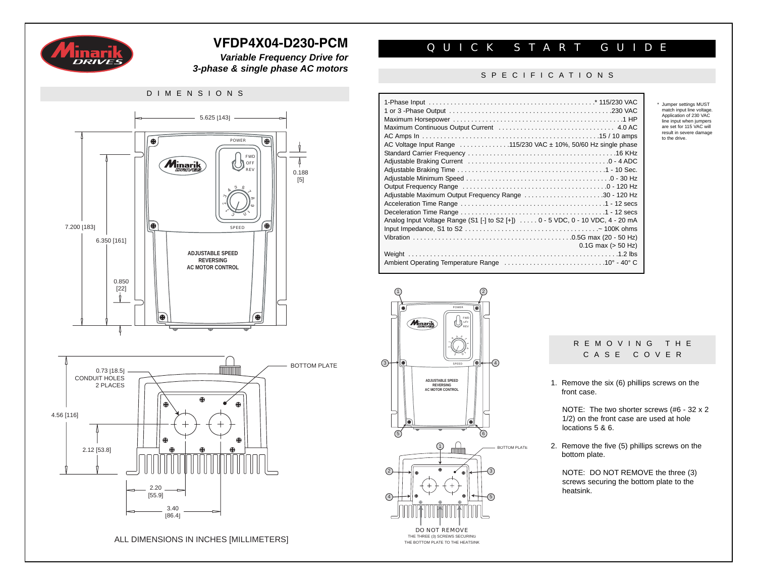

*Variable Frequency Drive for 3-phase & single phase AC motors*

# DIMENSIONS 5.625 [143] POWER  $\overline{\bullet}$  $\bullet$ FWD **Minarik D**OFF RE' 0.188 [5]  $4, 5, 6, 7$  $\infty$  $\infty$ 2  $\ddot{\circ}$ 1  $\delta$ 0 d ⊛ 7.200 [183] SPEED 6.350 [161] **ADJUSTABLE SPEED REVERSING AC MOTOR CONTROL** 0.850 [22] II) ⊕ BOTTOM PLATE 0.73 [18.5] CONDUIT HOLES 2 PLACES 4.56 [116] 2.12 [53.8]  $\epsilon$ 2.20 -[55.9] 3.40 [86.4]

ALL DIMENSIONS IN INCHES [MILLIMETERS]

# **VFDP4X04-D230-PCM** QUICK START GUIDE

## SPECIFICATIONS

| AC Voltage Input Range 115/230 VAC ± 10%, 50/60 Hz single phase                   |
|-----------------------------------------------------------------------------------|
|                                                                                   |
|                                                                                   |
|                                                                                   |
|                                                                                   |
|                                                                                   |
| Adjustable Maximum Output Frequency Range 30 - 120 Hz                             |
|                                                                                   |
|                                                                                   |
| Analog Input Voltage Range (S1 $[-]$ to S2 $[+]$ 0 - 5 VDC, 0 - 10 VDC, 4 - 20 mA |
|                                                                                   |
|                                                                                   |
| $0.1G$ max ( $> 50$ Hz)                                                           |
|                                                                                   |
|                                                                                   |

1  $(2)$ POWER FWD **Minarik** REV OFF مگھرہ 8 ৬ 1  $\lesssim$ SPEED 3) speen (❸ k— +(4) **ADJUSTABLE SPEED REVERSING AC MOTOR CONTROL**  $(6)$  $\bigcap$  $(2)$  $\sqrt{4}$ 5 DO NOT REMOVE THE THREE (3) SCREWS SECURING THE BOTTOM PLATE TO THE HEATSINK

# REMOVING THE CASE COVER

\* Jumper settings MUST match input line voltage. Application of 230 VAC line input when jumpers are set for 115 VAC will result in severe damage to the drive.

1. Remove the six (6) phillips screws on the front case.

NOTE: The two shorter screws (#6 - 32 x 2 1/2) on the front case are used at hole locations 5 & 6.

2. Remove the five (5) phillips screws on the bottom plate.

NOTE: DO NOT REMOVE the three (3) screws securing the bottom plate to the heatsink.

BOTTOM PLATE